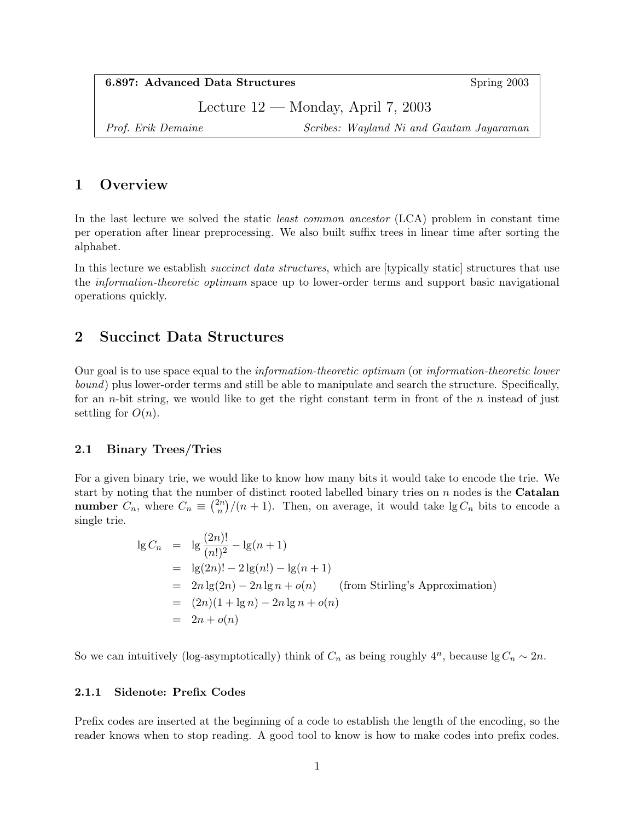6.897: Advanced Data Structures Spring 2003

Lecture 12 — Monday, April 7, 2003

Prof. Erik Demaine Scribes: Wayland Ni and Gautam Jayaraman

# 1 Overview

In the last lecture we solved the static *least common ancestor* (LCA) problem in constant time per operation after linear preprocessing. We also built suffix trees in linear time after sorting the alphabet.

In this lecture we establish *succinct data structures*, which are [typically static] structures that use the information-theoretic optimum space up to lower-order terms and support basic navigational operations quickly.

## 2 Succinct Data Structures

Our goal is to use space equal to the information-theoretic optimum (or information-theoretic lower bound) plus lower-order terms and still be able to manipulate and search the structure. Specifically, for an *n*-bit string, we would like to get the right constant term in front of the *n* instead of just settling for  $O(n)$ .

## 2.1 Binary Trees/Tries

For a given binary trie, we would like to know how many bits it would take to encode the trie. We start by noting that the number of distinct rooted labelled binary tries on  $n$  nodes is the **Catalan number**  $C_n$ , where  $C_n \equiv \binom{2n}{n}$  $\binom{2n}{n}$ /(n + 1). Then, on average, it would take lg  $C_n$  bits to encode a single trie.

$$
\lg C_n = \lg \frac{(2n)!}{(n!)^2} - \lg(n+1)
$$
  
=  $\lg(2n)! - 2\lg(n!) - \lg(n+1)$   
=  $2n \lg(2n) - 2n \lg n + o(n)$  (from Stirling's Approximation)  
=  $(2n)(1 + \lg n) - 2n \lg n + o(n)$   
=  $2n + o(n)$ 

So we can intuitively (log-asymptotically) think of  $C_n$  as being roughly  $4^n$ , because  $\lg C_n \sim 2n$ .

#### 2.1.1 Sidenote: Prefix Codes

Prefix codes are inserted at the beginning of a code to establish the length of the encoding, so the reader knows when to stop reading. A good tool to know is how to make codes into prefix codes.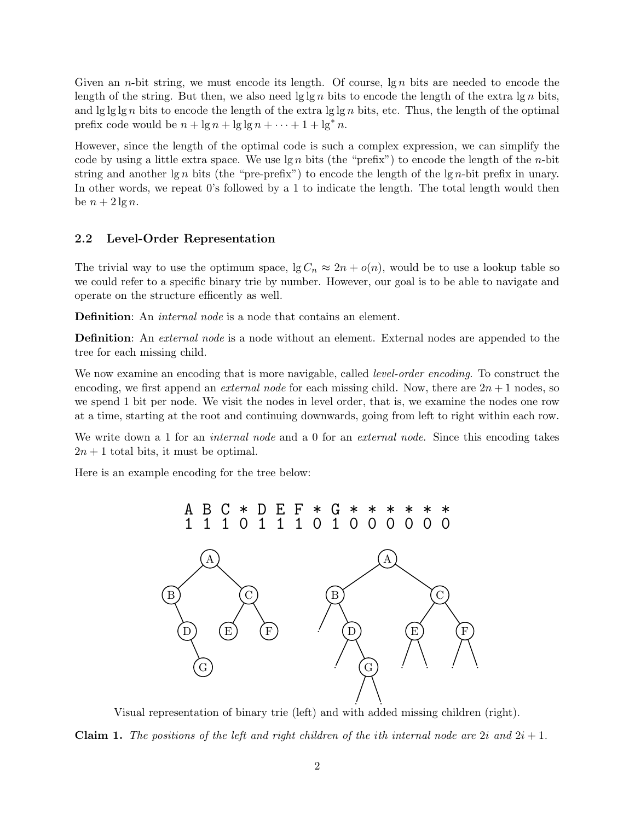Given an *n*-bit string, we must encode its length. Of course,  $\lg n$  bits are needed to encode the length of the string. But then, we also need  $\lg \ln n$  bits to encode the length of the extra  $\lg n$  bits, and  $\lg \lg \lg n$  bits to encode the length of the extra  $\lg \lg n$  bits, etc. Thus, the length of the optimal prefix code would be  $n + \lg n + \lg \lg n + \cdots + 1 + \lg^* n$ .

However, since the length of the optimal code is such a complex expression, we can simplify the code by using a little extra space. We use  $\lg n$  bits (the "prefix") to encode the length of the *n*-bit string and another  $\lg n$  bits (the "pre-prefix") to encode the length of the  $\lg n$ -bit prefix in unary. In other words, we repeat 0's followed by a 1 to indicate the length. The total length would then be  $n + 2 \lg n$ .

#### 2.2 Level-Order Representation

The trivial way to use the optimum space,  $\lg C_n \approx 2n + o(n)$ , would be to use a lookup table so we could refer to a specific binary trie by number. However, our goal is to be able to navigate and operate on the structure efficently as well.

Definition: An *internal node* is a node that contains an element.

**Definition**: An *external node* is a node without an element. External nodes are appended to the tree for each missing child.

We now examine an encoding that is more navigable, called *level-order encoding*. To construct the encoding, we first append an *external node* for each missing child. Now, there are  $2n + 1$  nodes, so we spend 1 bit per node. We visit the nodes in level order, that is, we examine the nodes one row at a time, starting at the root and continuing downwards, going from left to right within each row.

We write down a 1 for an *internal node* and a 0 for an *external node*. Since this encoding takes  $2n + 1$  total bits, it must be optimal.

Here is an example encoding for the tree below:



Visual representation of binary trie (left) and with added missing children (right). **Claim 1.** The positions of the left and right children of the ith internal node are 2i and  $2i + 1$ .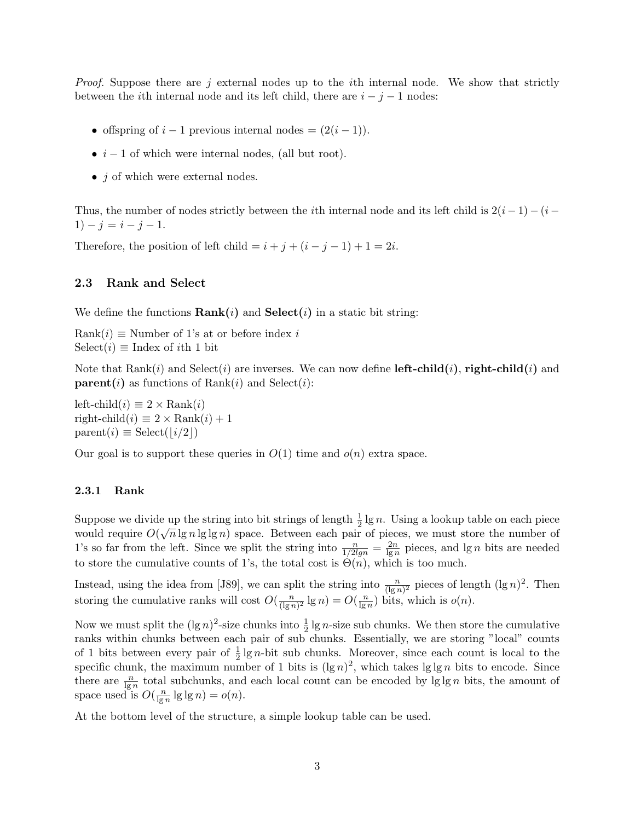Proof. Suppose there are j external nodes up to the *i*th internal node. We show that strictly between the *i*th internal node and its left child, there are  $i - j - 1$  nodes:

- offspring of  $i 1$  previous internal nodes =  $(2(i 1))$ .
- $i 1$  of which were internal nodes, (all but root).
- $\bullet$  *j* of which were external nodes.

Thus, the number of nodes strictly between the *i*th internal node and its left child is  $2(i - 1) - (i - 1)$ 1)  $-j = i - j - 1.$ 

Therefore, the position of left child =  $i + j + (i - j - 1) + 1 = 2i$ .

#### 2.3 Rank and Select

We define the functions  $\text{Rank}(i)$  and  $\text{Select}(i)$  in a static bit string:

 $Rank(i) \equiv$  Number of 1's at or before index i  $Select(i) \equiv Index of *i*th 1 bit$ 

Note that  $\text{Rank}(i)$  and  $\text{Select}(i)$  are inverses. We can now define **left-child** $(i)$ , **right-child** $(i)$  and **parent**(i) as functions of Rank(i) and Select(i):

left-child $(i) \equiv 2 \times \text{Rank}(i)$ right-child $(i) \equiv 2 \times \text{Rank}(i) + 1$  $parent(i) \equiv Select(|i/2|)$ 

Our goal is to support these queries in  $O(1)$  time and  $o(n)$  extra space.

## 2.3.1 Rank

Suppose we divide up the string into bit strings of length  $\frac{1}{2} \lg n$ . Using a lookup table on each piece would require  $O(\sqrt{n}\lg n \lg \lg n)$  space. Between each pair of pieces, we must store the number of 1's so far from the left. Since we split the string into  $\frac{n}{1/2lg n} = \frac{2n}{lg n}$  $\frac{2n}{\lg n}$  pieces, and  $\lg n$  bits are needed to store the cumulative counts of 1's, the total cost is  $\Theta(n)$ , which is too much.

Instead, using the idea from [J89], we can split the string into  $\frac{n}{(\lg n)^2}$  pieces of length  $(\lg n)^2$ . Then storing the cumulative ranks will cost  $O(\frac{n}{\log n})$  $\frac{n}{(\lg n)^2} \lg n) = O(\frac{n}{\lg n})$  $\frac{n}{\lg n}$ ) bits, which is  $o(n)$ .

Now we must split the  $(\lg n)^2$ -size chunks into  $\frac{1}{2} \lg n$ -size sub chunks. We then store the cumulative ranks within chunks between each pair of sub chunks. Essentially, we are storing "local" counts of 1 bits between every pair of  $\frac{1}{2} \lg n$ -bit sub chunks. Moreover, since each count is local to the specific chunk, the maximum number of 1 bits is  $(\lg n)^2$ , which takes  $\lg \lg n$  bits to encode. Since there are  $\frac{n}{\lg n}$  total subchunks, and each local count can be encoded by  $\lg \lg n$  bits, the amount of space used is  $O(\frac{n}{\log n})$  $\frac{n}{\lg n} \lg \lg n$ ) =  $o(n)$ .

At the bottom level of the structure, a simple lookup table can be used.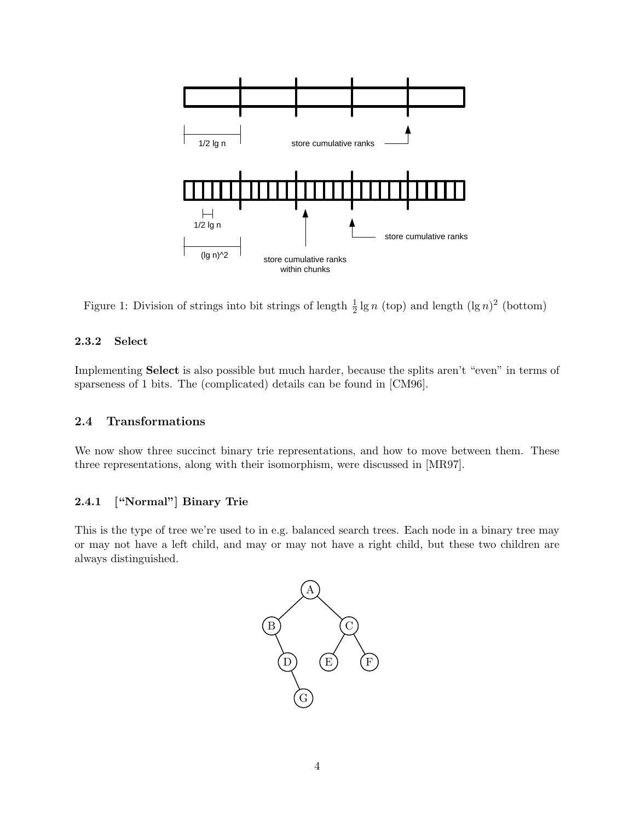

Figure 1: Division of strings into bit strings of length  $\frac{1}{2} \lg n$  (top) and length  $(\lg n)^2$  (bottom)

## 2.3.2 Select

Implementing Select is also possible but much harder, because the splits aren't "even" in terms of sparseness of 1 bits. The (complicated) details can be found in [CM96].

## 2.4 Transformations

We now show three succinct binary trie representations, and how to move between them. These three representations, along with their isomorphism, were discussed in [MR97].

## 2.4.1 ["Normal"] Binary Trie

This is the type of tree we're used to in e.g. balanced search trees. Each node in a binary tree may or may not have a left child, and may or may not have a right child, but these two children are always distinguished.

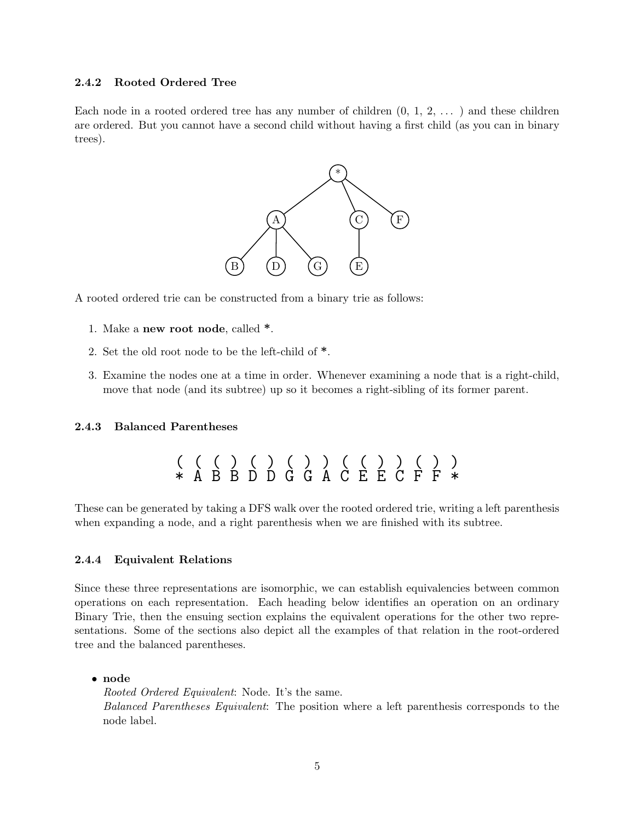#### 2.4.2 Rooted Ordered Tree

Each node in a rooted ordered tree has any number of children  $(0, 1, 2, \ldots)$  and these children are ordered. But you cannot have a second child without having a first child (as you can in binary trees).



A rooted ordered trie can be constructed from a binary trie as follows:

- 1. Make a new root node, called \*.
- 2. Set the old root node to be the left-child of \*.
- 3. Examine the nodes one at a time in order. Whenever examining a node that is a right-child, move that node (and its subtree) up so it becomes a right-sibling of its former parent.

#### 2.4.3 Balanced Parentheses

$$
(\begin{array}{c} ( \ ( \ ) \ ( \ ) \ ( \ ) \ ( \ ) \ ) \ ( \ ) \ \ast \ A \ B \ B \ D \ D \ G \ G \ A \ C \ E \ E \ C \ F \ F \ * \\
$$

These can be generated by taking a DFS walk over the rooted ordered trie, writing a left parenthesis when expanding a node, and a right parenthesis when we are finished with its subtree.

#### 2.4.4 Equivalent Relations

Since these three representations are isomorphic, we can establish equivalencies between common operations on each representation. Each heading below identifies an operation on an ordinary Binary Trie, then the ensuing section explains the equivalent operations for the other two representations. Some of the sections also depict all the examples of that relation in the root-ordered tree and the balanced parentheses.

• node

Rooted Ordered Equivalent: Node. It's the same. Balanced Parentheses Equivalent: The position where a left parenthesis corresponds to the node label.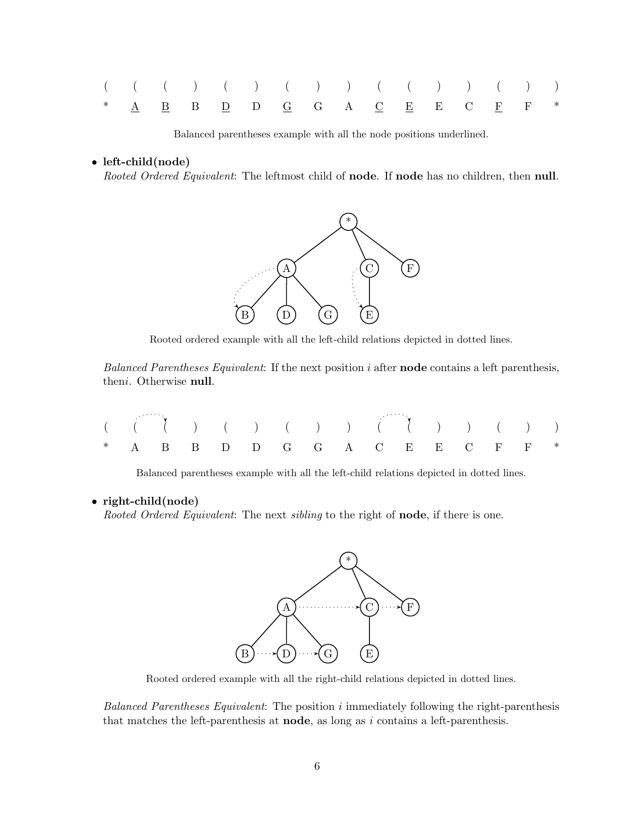|  |  | $( ( ( ( ) ( ) ( ) ( ) ( ) ( ) ) ( ( ( ) ) ( ( ) )$                                                                                                           |  |  |  |  |  |
|--|--|---------------------------------------------------------------------------------------------------------------------------------------------------------------|--|--|--|--|--|
|  |  | * $\underline{A}$ $\underline{B}$ B $\underline{D}$ D $\underline{G}$ G $\underline{A}$ $\underline{C}$ $\underline{E}$ E $\underline{C}$ $\underline{F}$ F * |  |  |  |  |  |

Balanced parentheses example with all the node positions underlined.

• left-child(node)

Rooted Ordered Equivalent: The leftmost child of node. If node has no children, then null.



Rooted ordered example with all the left-child relations depicted in dotted lines.

Balanced Parentheses Equivalent: If the next position  $i$  after **node** contains a left parenthesis, theni. Otherwise null.

|  |  | $( ( ( ( ) ( ) ( ) ( ) ( ) ( ) ( ) ( ) ( ( ) ( ) ( ) ( ) ( ) ( ) ( ) ( ) )$ |  |  |  |  |  |
|--|--|-----------------------------------------------------------------------------|--|--|--|--|--|
|  |  | * A B B D D G G A C E E C F F *                                             |  |  |  |  |  |

Balanced parentheses example with all the left-child relations depicted in dotted lines.

#### • right-child(node)

Rooted Ordered Equivalent: The next sibling to the right of **node**, if there is one.



Rooted ordered example with all the right-child relations depicted in dotted lines.

Balanced Parentheses Equivalent: The position i immediately following the right-parenthesis that matches the left-parenthesis at **node**, as long as  $i$  contains a left-parenthesis.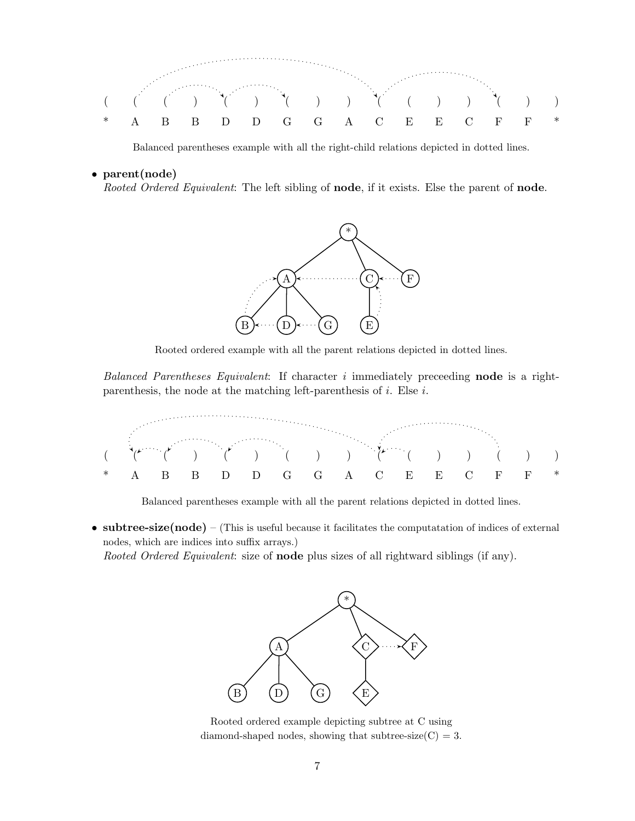

Balanced parentheses example with all the right-child relations depicted in dotted lines.

#### • parent(node)

Rooted Ordered Equivalent: The left sibling of node, if it exists. Else the parent of node.



Rooted ordered example with all the parent relations depicted in dotted lines.

Balanced Parentheses Equivalent: If character  $i$  immediately preceeding **node** is a rightparenthesis, the node at the matching left-parenthesis of  $i$ . Else  $i$ .



Balanced parentheses example with all the parent relations depicted in dotted lines.

• subtree-size( $\mathbf{node}$ ) – (This is useful because it facilitates the computatation of indices of external nodes, which are indices into suffix arrays.)

Rooted Ordered Equivalent: size of **node** plus sizes of all rightward siblings (if any).



Rooted ordered example depicting subtree at C using diamond-shaped nodes, showing that subtree-size $(C) = 3$ .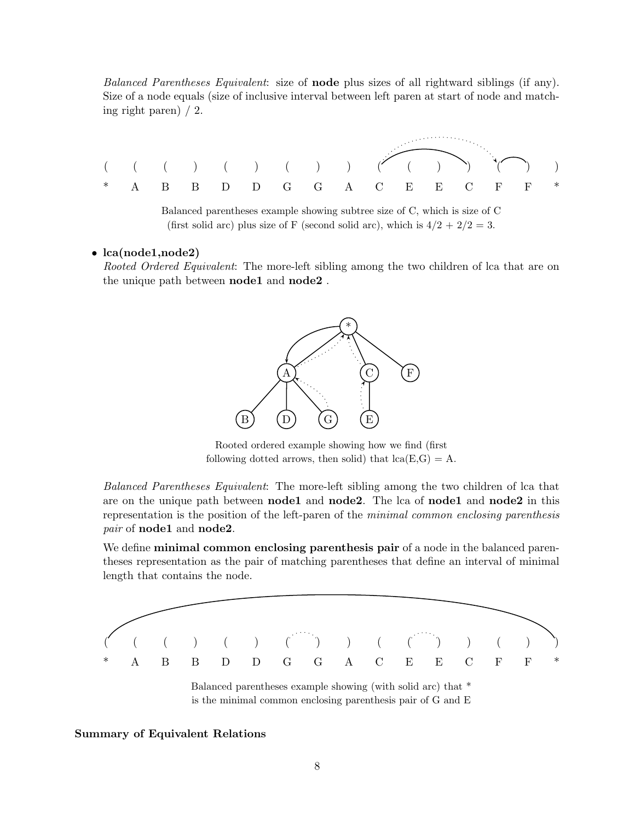Balanced Parentheses Equivalent: size of **node** plus sizes of all rightward siblings (if any). Size of a node equals (size of inclusive interval between left paren at start of node and matching right paren) / 2.



Balanced parentheses example showing subtree size of C, which is size of C (first solid arc) plus size of F (second solid arc), which is  $4/2 + 2/2 = 3$ .

#### • lca(node1,node2)

Rooted Ordered Equivalent: The more-left sibling among the two children of lca that are on the unique path between **node1** and **node2**.



Rooted ordered example showing how we find (first following dotted arrows, then solid) that  $lca(E,G) = A$ .

Balanced Parentheses Equivalent: The more-left sibling among the two children of lca that are on the unique path between **node1** and **node2**. The lca of **node1** and **node2** in this representation is the position of the left-paren of the minimal common enclosing parenthesis pair of **node1** and **node2**.

We define **minimal common enclosing parenthesis pair** of a node in the balanced parentheses representation as the pair of matching parentheses that define an interval of minimal length that contains the node.



is the minimal common enclosing parenthesis pair of G and E

#### Summary of Equivalent Relations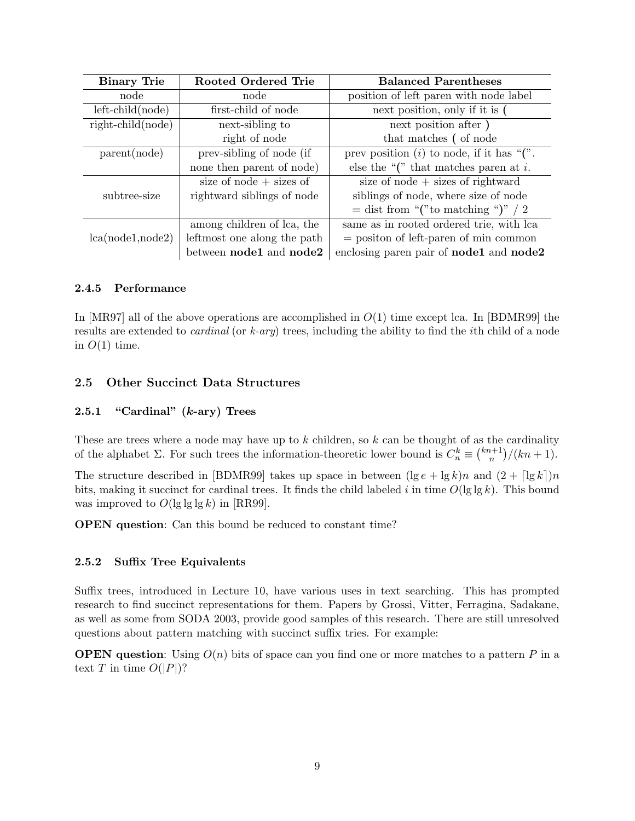| <b>Binary Trie</b>      | Rooted Ordered Trie         | <b>Balanced Parentheses</b>                           |  |  |  |  |  |
|-------------------------|-----------------------------|-------------------------------------------------------|--|--|--|--|--|
| node                    | node                        | position of left paren with node label                |  |  |  |  |  |
| $left$ -child $(node)$  | first-child of node         | next position, only if it is                          |  |  |  |  |  |
| $right$ -child $(node)$ | next-sibling to             | next position after)                                  |  |  |  |  |  |
|                         | right of node               | that matches (of node                                 |  |  |  |  |  |
| parent(node)            | prev-sibling of node (if    | prev position $(i)$ to node, if it has " $($ ".       |  |  |  |  |  |
|                         | none then parent of node)   | else the " $($ " that matches paren at i.             |  |  |  |  |  |
|                         | size of node $+$ sizes of   | size of node $+$ sizes of rightward                   |  |  |  |  |  |
| subtree-size            | rightward siblings of node  | siblings of node, where size of node                  |  |  |  |  |  |
|                         |                             | $=$ dist from "("to matching ")" / 2                  |  |  |  |  |  |
|                         | among children of lca, the  | same as in rooted ordered trie, with lca              |  |  |  |  |  |
| lca(node1, node2)       | leftmost one along the path | $=$ position of left-paren of min common              |  |  |  |  |  |
|                         | between node1 and node2     | enclosing paren pair of <b>node1</b> and <b>node2</b> |  |  |  |  |  |

## 2.4.5 Performance

In  $[MR97]$  all of the above operations are accomplished in  $O(1)$  time except lca. In  $[BDMR99]$  the results are extended to *cardinal* (or  $k$ -*ary*) trees, including the ability to find the *i*th child of a node in  $O(1)$  time.

## 2.5 Other Succinct Data Structures

## 2.5.1 "Cardinal"  $(k$ -ary) Trees

These are trees where a node may have up to  $k$  children, so  $k$  can be thought of as the cardinality of the alphabet  $\Sigma$ . For such trees the information-theoretic lower bound is  $C_n^k \equiv \binom{kn+1}{n}$  ${n+1 \choose n}/(kn+1).$ 

The structure described in [BDMR99] takes up space in between  $(\lg e + \lg k)n$  and  $(2 + \lceil \lg k \rceil)n$ bits, making it succinct for cardinal trees. It finds the child labeled i in time  $O(\lg \lg k)$ . This bound was improved to  $O(\lg \lg \lg k)$  in [RR99].

OPEN question: Can this bound be reduced to constant time?

#### 2.5.2 Suffix Tree Equivalents

Suffix trees, introduced in Lecture 10, have various uses in text searching. This has prompted research to find succinct representations for them. Papers by Grossi, Vitter, Ferragina, Sadakane, as well as some from SODA 2003, provide good samples of this research. There are still unresolved questions about pattern matching with succinct suffix tries. For example:

**OPEN** question: Using  $O(n)$  bits of space can you find one or more matches to a pattern P in a text T in time  $O(|P|)$ ?